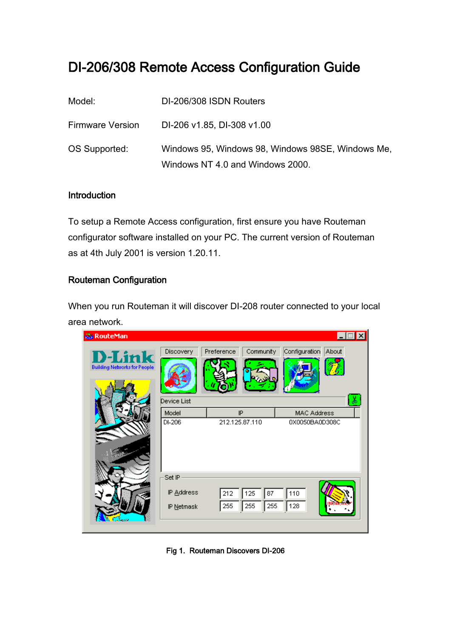## DI-206/308 Remote Access Configuration Guide

| Model:                  | DI-206/308 ISDN Routers                           |
|-------------------------|---------------------------------------------------|
| <b>Firmware Version</b> | DI-206 v1.85, DI-308 v1.00                        |
| OS Supported:           | Windows 95, Windows 98, Windows 98SE, Windows Me, |
|                         | Windows NT 4.0 and Windows 2000.                  |

## **Introduction**

To setup a Remote Access configuration, first ensure you have Routeman configurator software installed on your PC. The current version of Routeman as at 4th July 2001 is version 1.20.11.

## Routeman Configuration

When you run Routeman it will discover DI-208 router connected to your local area network.

| <b>RouteMan</b>                                       |                                    |                          |                                      | ∃  ×  |
|-------------------------------------------------------|------------------------------------|--------------------------|--------------------------------------|-------|
| <b>D</b> -Link<br><b>Building Networks for People</b> | <b>Discovery</b>                   | Community<br>Preference  | Configuration                        | About |
|                                                       | Device List<br>Model<br>DI-206     | IP<br>212.125.87.110     | <b>MAC Address</b><br>0X0050BA0D308C |       |
|                                                       |                                    |                          |                                      |       |
|                                                       | Set IP<br>IP Address<br>IP Netmask | 125<br>212<br>255<br>255 | 110<br>87<br>128<br>255              |       |
|                                                       |                                    |                          |                                      |       |

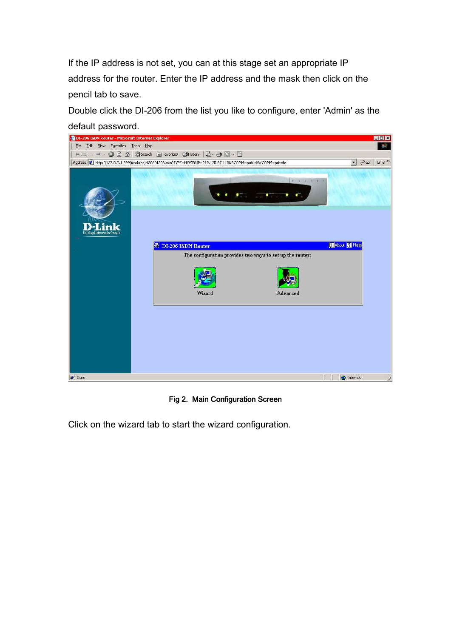If the IP address is not set, you can at this stage set an appropriate IP address for the router. Enter the IP address and the mask then click on the pencil tab to save.

Double click the DI-206 from the list you like to configure, enter 'Admin' as the default password.



Fig 2. Main Configuration Screen

Click on the wizard tab to start the wizard configuration.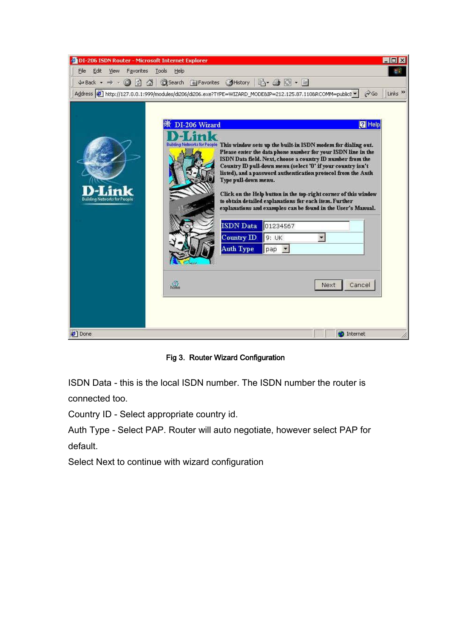| <b>@ DI-206 ISDN Router - Microsoft Internet Explorer</b>                                                                                                                                                                                                                                                                                                                                                                                                                                                                                                                                                                                                                                                                                                                                    | $ \Box$ x                 |
|----------------------------------------------------------------------------------------------------------------------------------------------------------------------------------------------------------------------------------------------------------------------------------------------------------------------------------------------------------------------------------------------------------------------------------------------------------------------------------------------------------------------------------------------------------------------------------------------------------------------------------------------------------------------------------------------------------------------------------------------------------------------------------------------|---------------------------|
| File<br>Edit<br>View<br>Favorites<br>Tools<br>Help                                                                                                                                                                                                                                                                                                                                                                                                                                                                                                                                                                                                                                                                                                                                           | an.                       |
| ←Back → → ◎ ② ③ ③Search 图Favorites ③History   2 → ③ ◎ ◆ 国                                                                                                                                                                                                                                                                                                                                                                                                                                                                                                                                                                                                                                                                                                                                    |                           |
| Address 2 http://127.0.0.1:999/modules/di206/di206.exe?TYPE=WIZARD_MODE&IP=212.125.87.110&RCOMM=public8 -<br>⊘ Go                                                                                                                                                                                                                                                                                                                                                                                                                                                                                                                                                                                                                                                                            | Links <sup>&gt;&gt;</sup> |
| <b>P</b> Help<br>DI-206 Wizard<br>Building Networks for People This window sets up the built-in ISDN modem for dialing out.<br>Please enter the data phone number for your ISDN line in the<br>ISDN Data field. Next, choose a country ID number from the<br>Country ID pull-down menu (select '0' if your country isn't<br>listed), and a password authentication protocol from the Auth<br>Type pull-down menu.<br>Click on the Help button in the top-right corner of this window<br><b>Building Networks for People</b><br>to obtain detailed explanations for each item. Further<br>explanations and examples can be found in the User's Manual.<br><b>ISDN</b> Data<br>01234567<br>Country ID<br>9:UK<br><b>Auth Type</b><br>pap<br>$\overline{ }$<br>$\mathbb{G}_n$<br>Cancel<br>Next |                           |
| <b>₽</b> ] Done<br><b>D</b> Internet                                                                                                                                                                                                                                                                                                                                                                                                                                                                                                                                                                                                                                                                                                                                                         |                           |

Fig 3. Router Wizard Configuration

ISDN Data - this is the local ISDN number. The ISDN number the router is connected too.

Country ID - Select appropriate country id.

Auth Type - Select PAP. Router will auto negotiate, however select PAP for default.

Select Next to continue with wizard configuration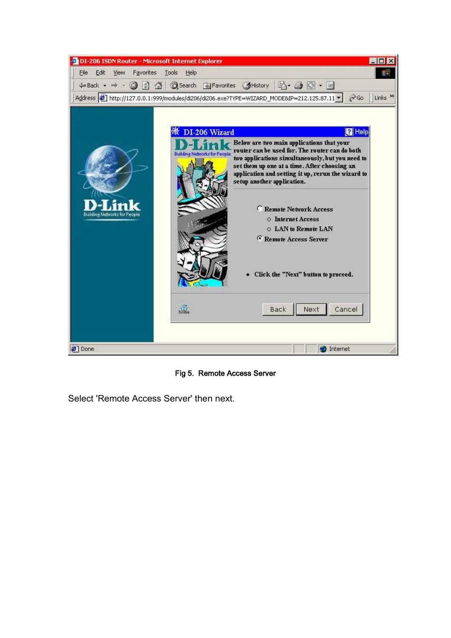

Fig 5. Remote Access Server

Select 'Remote Access Server' then next.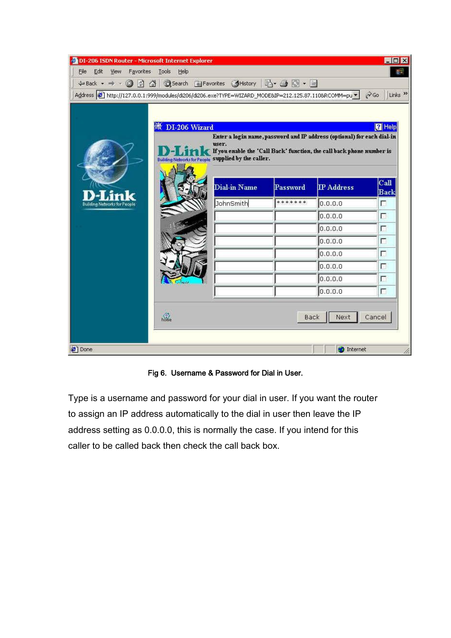| DI-206 ISDN Router - Microsoft Internet Explorer<br>Eile<br>Edit<br>View<br>Favorites<br>$\leftarrow$ Back $\cdot \rightarrow \cdot \circledcirc \circledcirc$ | Tools<br>Help         | ◎Search 图 Favorites ● History   2 ● 图 • 目                     |          |                                                                                                                                                  | $\Box$ D $\times$<br>郡                |
|----------------------------------------------------------------------------------------------------------------------------------------------------------------|-----------------------|---------------------------------------------------------------|----------|--------------------------------------------------------------------------------------------------------------------------------------------------|---------------------------------------|
| Address 3 http://127.0.0.1:999/modules/di206/di206.exe?TYPE=WIZARD_MODE&IP=212.125.87.110&RCOMM=pu >                                                           |                       |                                                               |          |                                                                                                                                                  | $\alpha$<br>Links <sup>&gt;&gt;</sup> |
|                                                                                                                                                                | DI-206 Wizard         | user.<br>Building Networks for People supplied by the caller. |          | Enter a login name, password and IP address (optional) for each dial-in<br>If you enable the 'Call Back' function, the call back phone number is | <b>Z</b> Help                         |
|                                                                                                                                                                |                       | Dial-in Name                                                  | Password | <b>IP</b> Address                                                                                                                                | Call<br><b>Back</b>                   |
| <b>Building Networks for People</b>                                                                                                                            |                       | JohnSmith                                                     | *******  | 0,0,0,0                                                                                                                                          | п                                     |
|                                                                                                                                                                |                       |                                                               |          | 0.0.0.0                                                                                                                                          | г                                     |
|                                                                                                                                                                |                       |                                                               |          | 0.0.0.0                                                                                                                                          | Г                                     |
|                                                                                                                                                                |                       |                                                               |          | 0.0.0.0                                                                                                                                          | г                                     |
|                                                                                                                                                                |                       |                                                               |          | 0.0.0.0                                                                                                                                          | п                                     |
|                                                                                                                                                                |                       |                                                               |          | 0.0.0.0                                                                                                                                          | г                                     |
|                                                                                                                                                                |                       |                                                               |          | 0.0.0.0                                                                                                                                          | Γ                                     |
|                                                                                                                                                                |                       |                                                               |          | 0.0.0.0                                                                                                                                          | г                                     |
|                                                                                                                                                                | $\widehat{\text{Rn}}$ |                                                               |          | Next<br>Back                                                                                                                                     | Cancel                                |
| <b>∉</b> ] Done                                                                                                                                                |                       |                                                               |          | <b>O</b> Internet                                                                                                                                |                                       |

Fig 6. Username & Password for Dial in User.

Type is a username and password for your dial in user. If you want the router to assign an IP address automatically to the dial in user then leave the IP address setting as 0.0.0.0, this is normally the case. If you intend for this caller to be called back then check the call back box.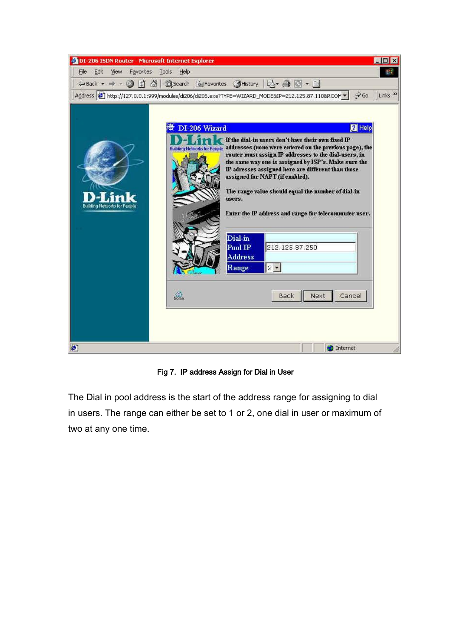| <b>@ DI-206 ISDN Router - Microsoft Internet Explorer</b><br>Edit<br>View<br>Favorites<br>File<br>←Back • → • ◎ ⑦ △   ◎Search 图 Favorites ③History   2 • ③   ③ • 9 | Tools<br>Help                                                                                                                                                                                                       |                                                   |                                                                                                                                                                                                                                                                                                                                                                             | $-$ D $\times$<br>m                                 |
|--------------------------------------------------------------------------------------------------------------------------------------------------------------------|---------------------------------------------------------------------------------------------------------------------------------------------------------------------------------------------------------------------|---------------------------------------------------|-----------------------------------------------------------------------------------------------------------------------------------------------------------------------------------------------------------------------------------------------------------------------------------------------------------------------------------------------------------------------------|-----------------------------------------------------|
| <b>Building Networks for People</b>                                                                                                                                | Address 6 http://127.0.0.1:999/modules/di206/di206.exe?TYPE=WIZARD_MODE&IP=212.125.87.110&RCOM =<br>DI-206 Wizard<br>Building Networks for People addresses (none were entered on the previous page), the<br>users. |                                                   | If the dial-in users don't have their own fixed IP<br>router must assign IP addresses to the dial-users, in<br>the same way one is assigned by ISP's. Make sure the<br>IP adresses assigned here are different than those<br>assigned for NAPT (if enabled).<br>The range value should equal the number of dial-in<br>Enter the IP address and range for telecommuter user. | Links $\rightarrow$<br>$\alpha$ Go<br><b>P</b> Help |
|                                                                                                                                                                    | $\widehat{\mathbb{G}}$                                                                                                                                                                                              | Dial-in<br>$Pool$ $IP$<br><b>Address</b><br>Range | 212.125.87.250<br>$2 -$<br>Next<br>Back                                                                                                                                                                                                                                                                                                                                     | Cancel                                              |
| $\mathbf{c}$                                                                                                                                                       |                                                                                                                                                                                                                     |                                                   | <b>D</b> Internet                                                                                                                                                                                                                                                                                                                                                           |                                                     |

Fig 7. IP address Assign for Dial in User

The Dial in pool address is the start of the address range for assigning to dial in users. The range can either be set to 1 or 2, one dial in user or maximum of two at any one time.